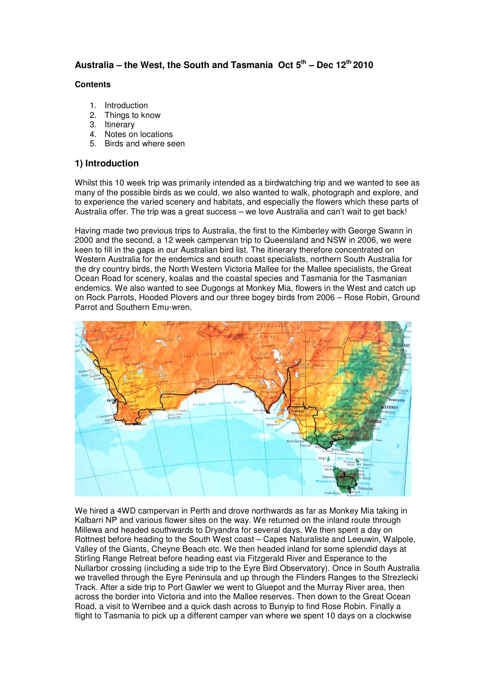# **Australia – the West, the South and Tasmania Oct 5th – Dec 12th 2010**

## **Contents**

- 1. Introduction
- 2. Things to know
- **Itinerary**
- 4. Notes on locations
- 5. Birds and where seen

# **1) Introduction**

Whilst this 10 week trip was primarily intended as a birdwatching trip and we wanted to see as many of the possible birds as we could, we also wanted to walk, photograph and explore, and to experience the varied scenery and habitats, and especially the flowers which these parts of Australia offer. The trip was a great success – we love Australia and can't wait to get back!

Having made two previous trips to Australia, the first to the Kimberley with George Swann in 2000 and the second, a 12 week campervan trip to Queensland and NSW in 2006, we were keen to fill in the gaps in our Australian bird list. The itinerary therefore concentrated on Western Australia for the endemics and south coast specialists, northern South Australia for the dry country birds, the North Western Victoria Mallee for the Mallee specialists, the Great Ocean Road for scenery, koalas and the coastal species and Tasmania for the Tasmanian endemics. We also wanted to see Dugongs at Monkey Mia, flowers in the West and catch up on Rock Parrots, Hooded Plovers and our three bogey birds from 2006 – Rose Robin, Ground Parrot and Southern Emu-wren.



We hired a 4WD campervan in Perth and drove northwards as far as Monkey Mia taking in Kalbarri NP and various flower sites on the way. We returned on the inland route through Millewa and headed southwards to Dryandra for several days. We then spent a day on Rottnest before heading to the South West coast – Capes Naturaliste and Leeuwin, Walpole, Valley of the Giants, Cheyne Beach etc. We then headed inland for some splendid days at Stirling Range Retreat before heading east via Fitzgerald River and Esperance to the Nullarbor crossing (including a side trip to the Eyre Bird Observatory). Once in South Australia we travelled through the Eyre Peninsula and up through the Flinders Ranges to the Strezlecki Track. After a side trip to Port Gawler we went to Gluepot and the Murray River area, then across the border into Victoria and into the Mallee reserves. Then down to the Great Ocean Road, a visit to Werribee and a quick dash across to Bunyip to find Rose Robin. Finally a flight to Tasmania to pick up a different camper van where we spent 10 days on a clockwise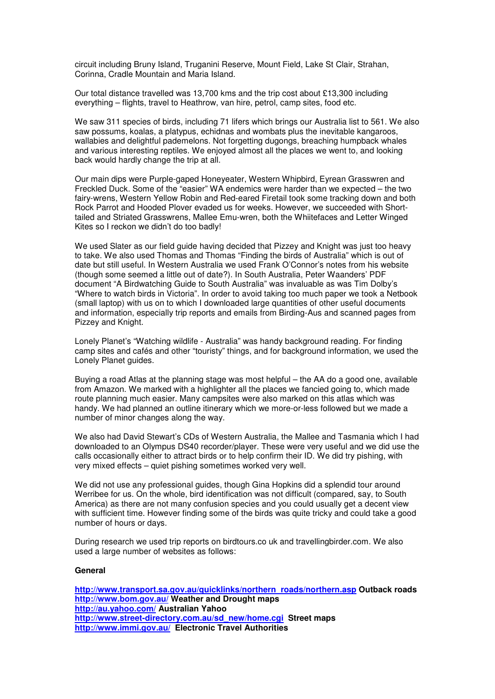circuit including Bruny Island, Truganini Reserve, Mount Field, Lake St Clair, Strahan, Corinna, Cradle Mountain and Maria Island.

Our total distance travelled was 13,700 kms and the trip cost about £13,300 including everything – flights, travel to Heathrow, van hire, petrol, camp sites, food etc.

We saw 311 species of birds, including 71 lifers which brings our Australia list to 561. We also saw possums, koalas, a platypus, echidnas and wombats plus the inevitable kangaroos, wallabies and delightful pademelons. Not forgetting dugongs, breaching humpback whales and various interesting reptiles. We enjoyed almost all the places we went to, and looking back would hardly change the trip at all.

Our main dips were Purple-gaped Honeyeater, Western Whipbird, Eyrean Grasswren and Freckled Duck. Some of the "easier" WA endemics were harder than we expected – the two fairy-wrens, Western Yellow Robin and Red-eared Firetail took some tracking down and both Rock Parrot and Hooded Plover evaded us for weeks. However, we succeeded with Shorttailed and Striated Grasswrens, Mallee Emu-wren, both the Whiitefaces and Letter Winged Kites so I reckon we didn't do too badly!

We used Slater as our field guide having decided that Pizzey and Knight was just too heavy to take. We also used Thomas and Thomas "Finding the birds of Australia" which is out of date but still useful. In Western Australia we used Frank O'Connor's notes from his website (though some seemed a little out of date?). In South Australia, Peter Waanders' PDF document "A Birdwatching Guide to South Australia" was invaluable as was Tim Dolby's "Where to watch birds in Victoria". In order to avoid taking too much paper we took a Netbook (small laptop) with us on to which I downloaded large quantities of other useful documents and information, especially trip reports and emails from Birding-Aus and scanned pages from Pizzey and Knight.

Lonely Planet's "Watching wildlife - Australia" was handy background reading. For finding camp sites and cafés and other "touristy" things, and for background information, we used the Lonely Planet guides.

Buying a road Atlas at the planning stage was most helpful – the AA do a good one, available from Amazon. We marked with a highlighter all the places we fancied going to, which made route planning much easier. Many campsites were also marked on this atlas which was handy. We had planned an outline itinerary which we more-or-less followed but we made a number of minor changes along the way.

We also had David Stewart's CDs of Western Australia, the Mallee and Tasmania which I had downloaded to an Olympus DS40 recorder/player. These were very useful and we did use the calls occasionally either to attract birds or to help confirm their ID. We did try pishing, with very mixed effects – quiet pishing sometimes worked very well.

We did not use any professional guides, though Gina Hopkins did a splendid tour around Werribee for us. On the whole, bird identification was not difficult (compared, say, to South America) as there are not many confusion species and you could usually get a decent view with sufficient time. However finding some of the birds was quite tricky and could take a good number of hours or days.

During research we used trip reports on birdtours.co uk and travellingbirder.com. We also used a large number of websites as follows:

#### **General**

http://www.transport.sa.gov.au/quicklinks/northern\_roads/northern.asp Outback roads **http://www.bom.gov.au/ Weather and Drought maps http://au.yahoo.com/ Australian Yahoo http://www.street-directory.com.au/sd\_new/home.cgi Street maps http://www.immi.gov.au/ Electronic Travel Authorities**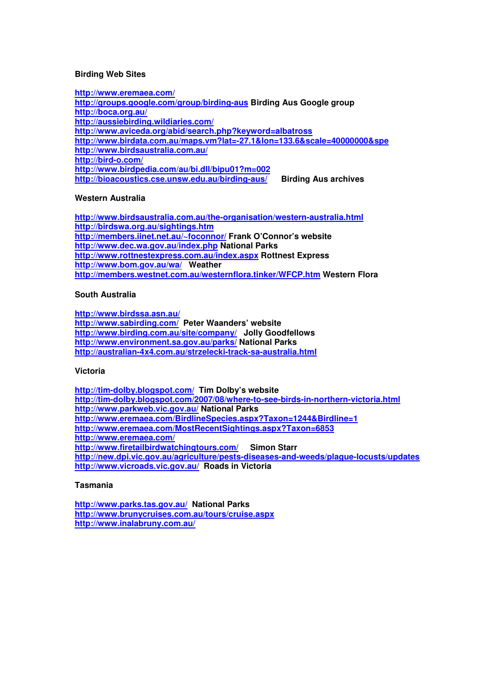#### **Birding Web Sites**

**http://www.eremaea.com/ http://groups.google.com/group/birding-aus Birding Aus Google group http://boca.org.au/ http://aussiebirding.wildiaries.com/ http://www.aviceda.org/abid/search.php?keyword=albatross http://www.birdata.com.au/maps.vm?lat=-27.1&lon=133.6&scale=40000000&spe http://www.birdsaustralia.com.au/ http://bird-o.com/ http://www.birdpedia.com/au/bi.dll/bipu01?m=002 http://bioacoustics.cse.unsw.edu.au/birding-aus/ Birding Aus archives** 

#### **Western Australia**

**http://www.birdsaustralia.com.au/the-organisation/western-australia.html http://birdswa.org.au/sightings.htm http://members.iinet.net.au/~foconnor/ Frank O'Connor's website http://www.dec.wa.gov.au/index.php National Parks http://www.rottnestexpress.com.au/index.aspx Rottnest Express http://www.bom.gov.au/wa/ Weather http://members.westnet.com.au/westernflora.tinker/WFCP.htm Western Flora** 

#### **South Australia**

**http://www.birdssa.asn.au/**

**http://www.sabirding.com/ Peter Waanders' website http://www.birding.com.au/site/company/ Jolly Goodfellows http://www.environment.sa.gov.au/parks/ National Parks http://australian-4x4.com.au/strzelecki-track-sa-australia.html**

#### **Victoria**

**http://tim-dolby.blogspot.com/ Tim Dolby's website http://tim-dolby.blogspot.com/2007/08/where-to-see-birds-in-northern-victoria.html http://www.parkweb.vic.gov.au/ National Parks http://www.eremaea.com/BirdlineSpecies.aspx?Taxon=1244&Birdline=1 http://www.eremaea.com/MostRecentSightings.aspx?Taxon=6853 http://www.eremaea.com/ http://www.firetailbirdwatchingtours.com/ Simon Starr http://new.dpi.vic.gov.au/agriculture/pests-diseases-and-weeds/plague-locusts/updates http://www.vicroads.vic.gov.au/ Roads in Victoria** 

## **Tasmania**

**http://www.parks.tas.gov.au/ National Parks http://www.brunycruises.com.au/tours/cruise.aspx http://www.inalabruny.com.au/**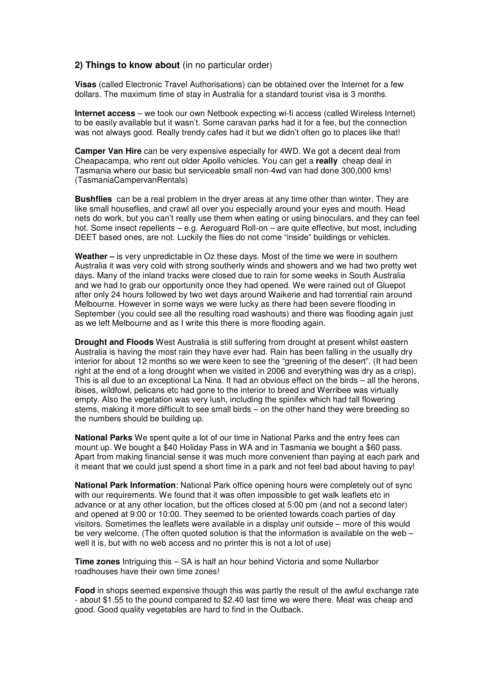### **2) Things to know about** (in no particular order)

**Visas** (called Electronic Travel Authorisations) can be obtained over the Internet for a few dollars. The maximum time of stay in Australia for a standard tourist visa is 3 months.

**Internet access** – we took our own Netbook expecting wi-fi access (called Wireless Internet) to be easily available but it wasn't. Some caravan parks had it for a fee, but the connection was not always good. Really trendy cafes had it but we didn't often go to places like that!

**Camper Van Hire** can be very expensive especially for 4WD. We got a decent deal from Cheapacampa, who rent out older Apollo vehicles. You can get a **really** cheap deal in Tasmania where our basic but serviceable small non-4wd van had done 300,000 kms! (TasmaniaCampervanRentals)

**Bushflies** can be a real problem in the dryer areas at any time other than winter. They are like small houseflies, and crawl all over you especially around your eyes and mouth. Head nets do work, but you can't really use them when eating or using binoculars, and they can feel hot. Some insect repellents – e.g. Aeroguard Roll-on – are quite effective, but most, including DEET based ones, are not. Luckily the flies do not come "inside" buildings or vehicles.

**Weather –** is very unpredictable in Oz these days. Most of the time we were in southern Australia it was very cold with strong southerly winds and showers and we had two pretty wet days. Many of the inland tracks were closed due to rain for some weeks in South Australia and we had to grab our opportunity once they had opened. We were rained out of Gluepot after only 24 hours followed by two wet days around Waikerie and had torrential rain around Melbourne. However in some ways we were lucky as there had been severe flooding in September (you could see all the resulting road washouts) and there was flooding again just as we left Melbourne and as I write this there is more flooding again.

**Drought and Floods** West Australia is still suffering from drought at present whilst eastern Australia is having the most rain they have ever had. Rain has been falling in the usually dry interior for about 12 months so we were keen to see the "greening of the desert". (It had been right at the end of a long drought when we visited in 2006 and everything was dry as a crisp). This is all due to an exceptional La Nina. It had an obvious effect on the birds – all the herons, ibises, wildfowl, pelicans etc had gone to the interior to breed and Werribee was virtually empty. Also the vegetation was very lush, including the spinifex which had tall flowering stems, making it more difficult to see small birds – on the other hand they were breeding so the numbers should be building up.

**National Parks** We spent quite a lot of our time in National Parks and the entry fees can mount up. We bought a \$40 Holiday Pass in WA and in Tasmania we bought a \$60 pass. Apart from making financial sense it was much more convenient than paying at each park and it meant that we could just spend a short time in a park and not feel bad about having to pay!

**National Park Information**: National Park office opening hours were completely out of sync with our requirements. We found that it was often impossible to get walk leaflets etc in advance or at any other location, but the offices closed at 5:00 pm (and not a second later) and opened at 9:00 or 10:00. They seemed to be oriented towards coach parties of day visitors. Sometimes the leaflets were available in a display unit outside – more of this would be very welcome. (The often quoted solution is that the information is available on the web  $$ well it is, but with no web access and no printer this is not a lot of use)

**Time zones** Intriguing this – SA is half an hour behind Victoria and some Nullarbor roadhouses have their own time zones!

**Food** in shops seemed expensive though this was partly the result of the awful exchange rate - about \$1.55 to the pound compared to \$2.40 last time we were there. Meat was cheap and good. Good quality vegetables are hard to find in the Outback.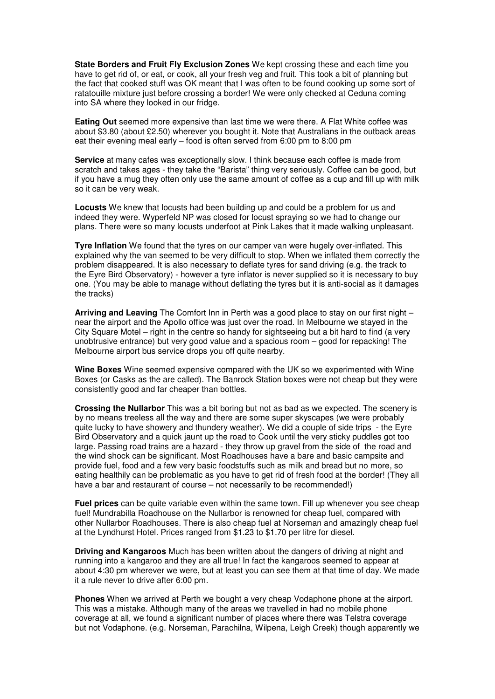**State Borders and Fruit Fly Exclusion Zones** We kept crossing these and each time you have to get rid of, or eat, or cook, all your fresh veg and fruit. This took a bit of planning but the fact that cooked stuff was OK meant that I was often to be found cooking up some sort of ratatouille mixture just before crossing a border! We were only checked at Ceduna coming into SA where they looked in our fridge.

**Eating Out** seemed more expensive than last time we were there. A Flat White coffee was about \$3.80 (about £2.50) wherever you bought it. Note that Australians in the outback areas eat their evening meal early – food is often served from 6:00 pm to 8:00 pm

**Service** at many cafes was exceptionally slow. I think because each coffee is made from scratch and takes ages - they take the "Barista" thing very seriously. Coffee can be good, but if you have a mug they often only use the same amount of coffee as a cup and fill up with milk so it can be very weak.

**Locusts** We knew that locusts had been building up and could be a problem for us and indeed they were. Wyperfeld NP was closed for locust spraying so we had to change our plans. There were so many locusts underfoot at Pink Lakes that it made walking unpleasant.

**Tyre Inflation** We found that the tyres on our camper van were hugely over-inflated. This explained why the van seemed to be very difficult to stop. When we inflated them correctly the problem disappeared. It is also necessary to deflate tyres for sand driving (e.g. the track to the Eyre Bird Observatory) - however a tyre inflator is never supplied so it is necessary to buy one. (You may be able to manage without deflating the tyres but it is anti-social as it damages the tracks)

**Arriving and Leaving** The Comfort Inn in Perth was a good place to stay on our first night – near the airport and the Apollo office was just over the road. In Melbourne we stayed in the City Square Motel – right in the centre so handy for sightseeing but a bit hard to find (a very unobtrusive entrance) but very good value and a spacious room – good for repacking! The Melbourne airport bus service drops you off quite nearby.

**Wine Boxes** Wine seemed expensive compared with the UK so we experimented with Wine Boxes (or Casks as the are called). The Banrock Station boxes were not cheap but they were consistently good and far cheaper than bottles.

**Crossing the Nullarbor** This was a bit boring but not as bad as we expected. The scenery is by no means treeless all the way and there are some super skyscapes (we were probably quite lucky to have showery and thundery weather). We did a couple of side trips - the Eyre Bird Observatory and a quick jaunt up the road to Cook until the very sticky puddles got too large. Passing road trains are a hazard - they throw up gravel from the side of the road and the wind shock can be significant. Most Roadhouses have a bare and basic campsite and provide fuel, food and a few very basic foodstuffs such as milk and bread but no more, so eating healthily can be problematic as you have to get rid of fresh food at the border! (They all have a bar and restaurant of course – not necessarily to be recommended!)

**Fuel prices** can be quite variable even within the same town. Fill up whenever you see cheap fuel! Mundrabilla Roadhouse on the Nullarbor is renowned for cheap fuel, compared with other Nullarbor Roadhouses. There is also cheap fuel at Norseman and amazingly cheap fuel at the Lyndhurst Hotel. Prices ranged from \$1.23 to \$1.70 per litre for diesel.

**Driving and Kangaroos** Much has been written about the dangers of driving at night and running into a kangaroo and they are all true! In fact the kangaroos seemed to appear at about 4:30 pm wherever we were, but at least you can see them at that time of day. We made it a rule never to drive after 6:00 pm.

**Phones** When we arrived at Perth we bought a very cheap Vodaphone phone at the airport. This was a mistake. Although many of the areas we travelled in had no mobile phone coverage at all, we found a significant number of places where there was Telstra coverage but not Vodaphone. (e.g. Norseman, Parachilna, Wilpena, Leigh Creek) though apparently we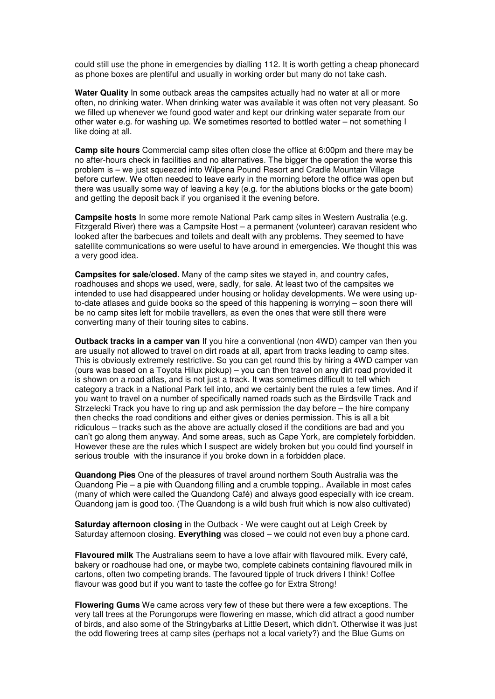could still use the phone in emergencies by dialling 112. It is worth getting a cheap phonecard as phone boxes are plentiful and usually in working order but many do not take cash.

**Water Quality** In some outback areas the campsites actually had no water at all or more often, no drinking water. When drinking water was available it was often not very pleasant. So we filled up whenever we found good water and kept our drinking water separate from our other water e.g. for washing up. We sometimes resorted to bottled water – not something I like doing at all.

**Camp site hours** Commercial camp sites often close the office at 6:00pm and there may be no after-hours check in facilities and no alternatives. The bigger the operation the worse this problem is – we just squeezed into Wilpena Pound Resort and Cradle Mountain Village before curfew. We often needed to leave early in the morning before the office was open but there was usually some way of leaving a key (e.g. for the ablutions blocks or the gate boom) and getting the deposit back if you organised it the evening before.

**Campsite hosts** In some more remote National Park camp sites in Western Australia (e.g. Fitzgerald River) there was a Campsite Host – a permanent (volunteer) caravan resident who looked after the barbecues and toilets and dealt with any problems. They seemed to have satellite communications so were useful to have around in emergencies. We thought this was a very good idea.

**Campsites for sale/closed.** Many of the camp sites we stayed in, and country cafes, roadhouses and shops we used, were, sadly, for sale. At least two of the campsites we intended to use had disappeared under housing or holiday developments. We were using upto-date atlases and guide books so the speed of this happening is worrying – soon there will be no camp sites left for mobile travellers, as even the ones that were still there were converting many of their touring sites to cabins.

**Outback tracks in a camper van** If you hire a conventional (non 4WD) camper van then you are usually not allowed to travel on dirt roads at all, apart from tracks leading to camp sites. This is obviously extremely restrictive. So you can get round this by hiring a 4WD camper van (ours was based on a Toyota Hilux pickup) – you can then travel on any dirt road provided it is shown on a road atlas, and is not just a track. It was sometimes difficult to tell which category a track in a National Park fell into, and we certainly bent the rules a few times. And if you want to travel on a number of specifically named roads such as the Birdsville Track and Strzelecki Track you have to ring up and ask permission the day before – the hire company then checks the road conditions and either gives or denies permission. This is all a bit ridiculous – tracks such as the above are actually closed if the conditions are bad and you can't go along them anyway. And some areas, such as Cape York, are completely forbidden. However these are the rules which I suspect are widely broken but you could find yourself in serious trouble with the insurance if you broke down in a forbidden place.

**Quandong Pies** One of the pleasures of travel around northern South Australia was the Quandong Pie – a pie with Quandong filling and a crumble topping.. Available in most cafes (many of which were called the Quandong Café) and always good especially with ice cream. Quandong jam is good too. (The Quandong is a wild bush fruit which is now also cultivated)

**Saturday afternoon closing** in the Outback - We were caught out at Leigh Creek by Saturday afternoon closing. **Everything** was closed – we could not even buy a phone card.

**Flavoured milk** The Australians seem to have a love affair with flavoured milk. Every café, bakery or roadhouse had one, or maybe two, complete cabinets containing flavoured milk in cartons, often two competing brands. The favoured tipple of truck drivers I think! Coffee flavour was good but if you want to taste the coffee go for Extra Strong!

**Flowering Gums** We came across very few of these but there were a few exceptions. The very tall trees at the Porungorups were flowering en masse, which did attract a good number of birds, and also some of the Stringybarks at Little Desert, which didn't. Otherwise it was just the odd flowering trees at camp sites (perhaps not a local variety?) and the Blue Gums on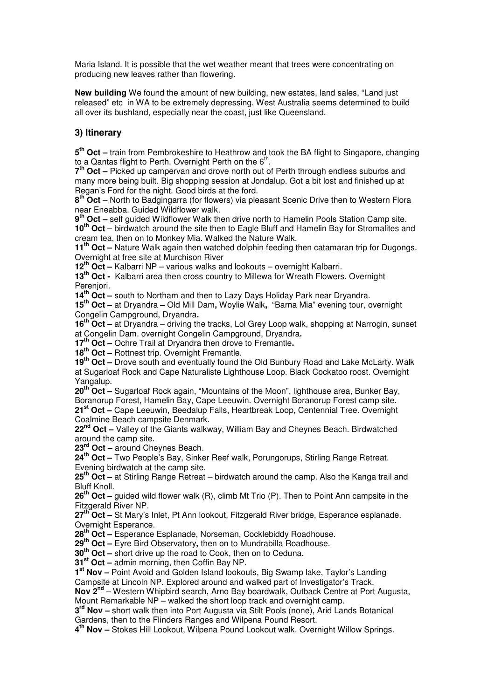Maria Island. It is possible that the wet weather meant that trees were concentrating on producing new leaves rather than flowering.

**New building** We found the amount of new building, new estates, land sales, "Land just released" etc in WA to be extremely depressing. West Australia seems determined to build all over its bushland, especially near the coast, just like Queensland.

# **3) Itinerary**

**5 th Oct –** train from Pembrokeshire to Heathrow and took the BA flight to Singapore, changing to a Qantas flight to Perth. Overnight Perth on the  $6<sup>th</sup>$ .

7<sup>th</sup> Oct – Picked up campervan and drove north out of Perth through endless suburbs and many more being built. Big shopping session at Jondalup. Got a bit lost and finished up at Regan's Ford for the night. Good birds at the ford.

**8 th Oct** – North to Badgingarra (for flowers) via pleasant Scenic Drive then to Western Flora near Eneabba. Guided Wildflower walk.

**9 Oct –** self guided Wildflower Walk then drive north to Hamelin Pools Station Camp site. **10th Oct** – birdwatch around the site then to Eagle Bluff and Hamelin Bay for Stromalites and cream tea, then on to Monkey Mia. Walked the Nature Walk.

**11th Oct –** Nature Walk again then watched dolphin feeding then catamaran trip for Dugongs. Overnight at free site at Murchison River

**12th Oct –** Kalbarri NP – various walks and lookouts – overnight Kalbarri.

**13th Oct -** Kalbarri area then cross country to Millewa for Wreath Flowers. Overnight Perenjori.

**14th Oct –** south to Northam and then to Lazy Days Holiday Park near Dryandra.

**15th Oct –** at Dryandra **–** Old Mill Dam**,** Woylie Walk**,** "Barna Mia" evening tour, overnight Congelin Campground, Dryandra**.** 

**16th Oct –** at Dryandra – driving the tracks, Lol Grey Loop walk, shopping at Narrogin, sunset at Congelin Dam. overnight Congelin Campground, Dryandra**.** 

**17th Oct –** Ochre Trail at Dryandra then drove to Fremantle**.** 

**18th Oct –** Rottnest trip. Overnight Fremantle.

**19th Oct –** Drove south and eventually found the Old Bunbury Road and Lake McLarty. Walk at Sugarloaf Rock and Cape Naturaliste Lighthouse Loop. Black Cockatoo roost. Overnight Yangalup.

**20th Oct –** Sugarloaf Rock again, "Mountains of the Moon", lighthouse area, Bunker Bay, Boranorup Forest, Hamelin Bay, Cape Leeuwin. Overnight Boranorup Forest camp site. **21st Oct –** Cape Leeuwin, Beedalup Falls, Heartbreak Loop, Centennial Tree. Overnight Coalmine Beach campsite Denmark.

**22nd Oct –** Valley of the Giants walkway, William Bay and Cheynes Beach. Birdwatched around the camp site.

**23rd Oct –** around Cheynes Beach.

**24th Oct –** Two People's Bay, Sinker Reef walk, Porungorups, Stirling Range Retreat. Evening birdwatch at the camp site.

**25th Oct –** at Stirling Range Retreat – birdwatch around the camp. Also the Kanga trail and Bluff Knoll.

**26th Oct –** guided wild flower walk (R), climb Mt Trio (P). Then to Point Ann campsite in the Fitzgerald River NP.

**27th Oct –** St Mary's Inlet, Pt Ann lookout, Fitzgerald River bridge, Esperance esplanade. Overnight Esperance.

**28th Oct –** Esperance Esplanade, Norseman, Cocklebiddy Roadhouse.

**29th Oct –** Eyre Bird Observatory**,** then on to Mundrabilla Roadhouse.

**30th Oct –** short drive up the road to Cook, then on to Ceduna.

**31st Oct –** admin morning, then Coffin Bay NP.

1<sup>st</sup> Nov - Point Avoid and Golden Island lookouts, Big Swamp lake, Taylor's Landing

Campsite at Lincoln NP. Explored around and walked part of Investigator's Track.

**Nov 2nd** – Western Whipbird search, Arno Bay boardwalk, Outback Centre at Port Augusta, Mount Remarkable NP – walked the short loop track and overnight camp.

**3 rd Nov –** short walk then into Port Augusta via Stilt Pools (none), Arid Lands Botanical Gardens, then to the Flinders Ranges and Wilpena Pound Resort.

**4 th Nov –** Stokes Hill Lookout, Wilpena Pound Lookout walk. Overnight Willow Springs.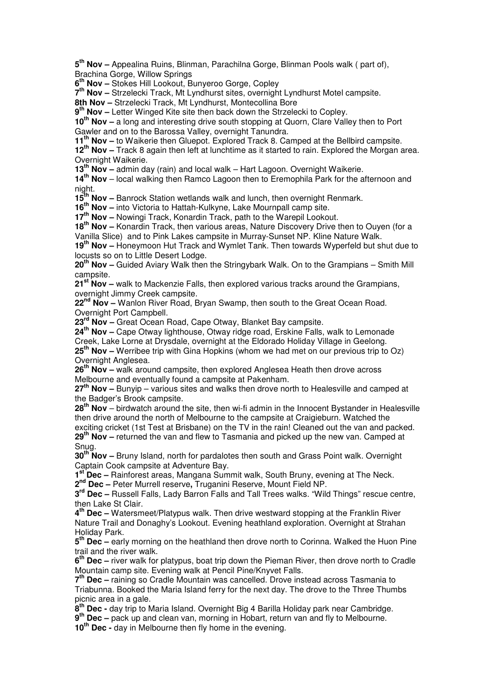**5 th Nov –** Appealina Ruins, Blinman, Parachilna Gorge, Blinman Pools walk ( part of), Brachina Gorge, Willow Springs

**6 th Nov –** Stokes Hill Lookout, Bunyeroo Gorge, Copley

**7 th Nov –** Strzelecki Track, Mt Lyndhurst sites, overnight Lyndhurst Motel campsite.

**8th Nov –** Strzelecki Track, Mt Lyndhurst, Montecollina Bore

**9 th Nov –** Letter Winged Kite site then back down the Strzelecki to Copley.

**10th Nov –** a long and interesting drive south stopping at Quorn, Clare Valley then to Port Gawler and on to the Barossa Valley, overnight Tanundra.

**11th Nov –** to Waikerie then Gluepot. Explored Track 8. Camped at the Bellbird campsite.

**12th Nov –** Track 8 again then left at lunchtime as it started to rain. Explored the Morgan area. Overnight Waikerie.

**13th Nov –** admin day (rain) and local walk – Hart Lagoon. Overnight Waikerie.

**14th Nov** – local walking then Ramco Lagoon then to Eremophila Park for the afternoon and night.

**15th Nov –** Banrock Station wetlands walk and lunch, then overnight Renmark.

**16th Nov –** into Victoria to Hattah-Kulkyne, Lake Mournpall camp site.

**17th Nov –** Nowingi Track, Konardin Track, path to the Warepil Lookout.

**18th Nov –** Konardin Track, then various areas, Nature Discovery Drive then to Ouyen (for a Vanilla Slice) and to Pink Lakes campsite in Murray-Sunset NP. Kline Nature Walk.

**19th Nov –** Honeymoon Hut Track and Wymlet Tank. Then towards Wyperfeld but shut due to locusts so on to Little Desert Lodge.

**20th Nov –** Guided Aviary Walk then the Stringybark Walk. On to the Grampians – Smith Mill campsite.

**21st Nov –** walk to Mackenzie Falls, then explored various tracks around the Grampians, overnight Jimmy Creek campsite.

**22nd Nov –** Wanlon River Road, Bryan Swamp, then south to the Great Ocean Road. Overnight Port Campbell.

**23rd Nov –** Great Ocean Road, Cape Otway, Blanket Bay campsite.

**24th Nov –** Cape Otway lighthouse, Otway ridge road, Erskine Falls, walk to Lemonade Creek, Lake Lorne at Drysdale, overnight at the Eldorado Holiday Village in Geelong.

**25th Nov –** Werribee trip with Gina Hopkins (whom we had met on our previous trip to Oz) Overnight Anglesea.

**26th Nov –** walk around campsite, then explored Anglesea Heath then drove across Melbourne and eventually found a campsite at Pakenham.

**27th Nov –** Bunyip – various sites and walks then drove north to Healesville and camped at the Badger's Brook campsite.

**28th Nov** – birdwatch around the site, then wi-fi admin in the Innocent Bystander in Healesville then drive around the north of Melbourne to the campsite at Craigieburn. Watched the exciting cricket (1st Test at Brisbane) on the TV in the rain! Cleaned out the van and packed. **29th Nov –** returned the van and flew to Tasmania and picked up the new van. Camped at

Snug. **30th Nov –** Bruny Island, north for pardalotes then south and Grass Point walk. Overnight Captain Cook campsite at Adventure Bay.

**1 Dec** – Rainforest areas, Mangana Summit walk, South Bruny, evening at The Neck.

**2 nd Dec –** Peter Murrell reserve**,** Truganini Reserve, Mount Field NP.

**3 rd Dec –** Russell Falls, Lady Barron Falls and Tall Trees walks. "Wild Things" rescue centre, then Lake St Clair.

**4 th Dec –** Watersmeet/Platypus walk. Then drive westward stopping at the Franklin River Nature Trail and Donaghy's Lookout. Evening heathland exploration. Overnight at Strahan Holiday Park.

**5 th Dec –** early morning on the heathland then drove north to Corinna. Walked the Huon Pine trail and the river walk.

**6 th Dec –** river walk for platypus, boat trip down the Pieman River, then drove north to Cradle Mountain camp site. Evening walk at Pencil Pine/Knyvet Falls.

**7 th Dec –** raining so Cradle Mountain was cancelled. Drove instead across Tasmania to Triabunna. Booked the Maria Island ferry for the next day. The drove to the Three Thumbs picnic area in a gale.

**8 th Dec -** day trip to Maria Island. Overnight Big 4 Barilla Holiday park near Cambridge.

**9 th Dec –** pack up and clean van, morning in Hobart, return van and fly to Melbourne.

**10th Dec -** day in Melbourne then fly home in the evening.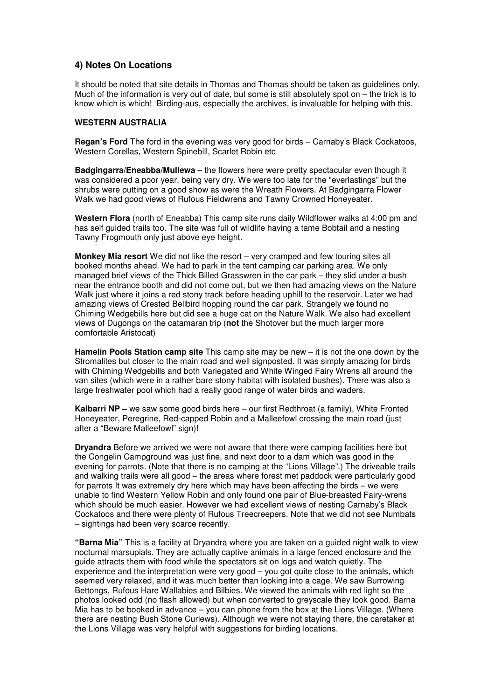# **4) Notes On Locations**

It should be noted that site details in Thomas and Thomas should be taken as guidelines only. Much of the information is very out of date, but some is still absolutely spot on  $-$  the trick is to know which is which! Birding-aus, especially the archives, is invaluable for helping with this.

#### **WESTERN AUSTRALIA**

**Regan's Ford** The ford in the evening was very good for birds – Carnaby's Black Cockatoos, Western Corellas, Western Spinebill, Scarlet Robin etc.

**Badgingarra/Eneabba/Mullewa –** the flowers here were pretty spectacular even though it was considered a poor year, being very dry. We were too late for the "everlastings" but the shrubs were putting on a good show as were the Wreath Flowers. At Badgingarra Flower Walk we had good views of Rufous Fieldwrens and Tawny Crowned Honeyeater.

**Western Flora** (north of Eneabba) This camp site runs daily Wildflower walks at 4:00 pm and has self guided trails too. The site was full of wildlife having a tame Bobtail and a nesting Tawny Frogmouth only just above eye height.

**Monkey Mia resort** We did not like the resort – very cramped and few touring sites all booked months ahead. We had to park in the tent camping car parking area. We only managed brief views of the Thick Billed Grasswren in the car park – they slid under a bush near the entrance booth and did not come out, but we then had amazing views on the Nature Walk just where it joins a red stony track before heading uphill to the reservoir. Later we had amazing views of Crested Bellbird hopping round the car park. Strangely we found no Chiming Wedgebills here but did see a huge cat on the Nature Walk. We also had excellent views of Dugongs on the catamaran trip (**not** the Shotover but the much larger more comfortable Aristocat)

**Hamelin Pools Station camp site** This camp site may be new – it is not the one down by the Stromalites but closer to the main road and well signposted. It was simply amazing for birds with Chiming Wedgebills and both Variegated and White Winged Fairy Wrens all around the van sites (which were in a rather bare stony habitat with isolated bushes). There was also a large freshwater pool which had a really good range of water birds and waders.

**Kalbarri NP –** we saw some good birds here – our first Redthroat (a family), White Fronted Honeyeater, Peregrine, Red-capped Robin and a Malleefowl crossing the main road (just after a "Beware Malleefowl" sign)!

**Dryandra** Before we arrived we were not aware that there were camping facilities here but the Congelin Campground was just fine, and next door to a dam which was good in the evening for parrots. (Note that there is no camping at the "Lions Village".) The driveable trails and walking trails were all good – the areas where forest met paddock were particularly good for parrots It was extremely dry here which may have been affecting the birds – we were unable to find Western Yellow Robin and only found one pair of Blue-breasted Fairy-wrens which should be much easier. However we had excellent views of nesting Carnaby's Black Cockatoos and there were plenty of Rufous Treecreepers. Note that we did not see Numbats – sightings had been very scarce recently.

**"Barna Mia"** This is a facility at Dryandra where you are taken on a guided night walk to view nocturnal marsupials. They are actually captive animals in a large fenced enclosure and the guide attracts them with food while the spectators sit on logs and watch quietly. The experience and the interpretation were very good – you got quite close to the animals, which seemed very relaxed, and it was much better than looking into a cage. We saw Burrowing Bettongs, Rufous Hare Wallabies and Bilbies. We viewed the animals with red light so the photos looked odd (no flash allowed) but when converted to greyscale they look good. Barna Mia has to be booked in advance – you can phone from the box at the Lions Village. (Where there are nesting Bush Stone Curlews). Although we were not staying there, the caretaker at the Lions Village was very helpful with suggestions for birding locations.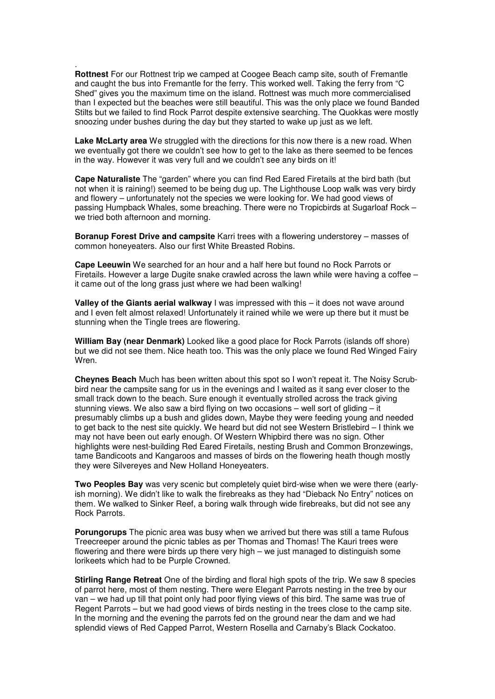**Rottnest** For our Rottnest trip we camped at Coogee Beach camp site, south of Fremantle and caught the bus into Fremantle for the ferry. This worked well. Taking the ferry from "C Shed" gives you the maximum time on the island. Rottnest was much more commercialised than I expected but the beaches were still beautiful. This was the only place we found Banded Stilts but we failed to find Rock Parrot despite extensive searching. The Quokkas were mostly snoozing under bushes during the day but they started to wake up just as we left.

.

**Lake McLarty area** We struggled with the directions for this now there is a new road. When we eventually got there we couldn't see how to get to the lake as there seemed to be fences in the way. However it was very full and we couldn't see any birds on it!

**Cape Naturaliste** The "garden" where you can find Red Eared Firetails at the bird bath (but not when it is raining!) seemed to be being dug up. The Lighthouse Loop walk was very birdy and flowery – unfortunately not the species we were looking for. We had good views of passing Humpback Whales, some breaching. There were no Tropicbirds at Sugarloaf Rock – we tried both afternoon and morning.

**Boranup Forest Drive and campsite** Karri trees with a flowering understorey – masses of common honeyeaters. Also our first White Breasted Robins.

**Cape Leeuwin** We searched for an hour and a half here but found no Rock Parrots or Firetails. However a large Dugite snake crawled across the lawn while were having a coffee – it came out of the long grass just where we had been walking!

**Valley of the Giants aerial walkway** I was impressed with this – it does not wave around and I even felt almost relaxed! Unfortunately it rained while we were up there but it must be stunning when the Tingle trees are flowering.

**William Bay (near Denmark)** Looked like a good place for Rock Parrots (islands off shore) but we did not see them. Nice heath too. This was the only place we found Red Winged Fairy Wren

**Cheynes Beach** Much has been written about this spot so I won't repeat it. The Noisy Scrubbird near the campsite sang for us in the evenings and I waited as it sang ever closer to the small track down to the beach. Sure enough it eventually strolled across the track giving stunning views. We also saw a bird flying on two occasions – well sort of gliding – it presumably climbs up a bush and glides down, Maybe they were feeding young and needed to get back to the nest site quickly. We heard but did not see Western Bristlebird – I think we may not have been out early enough. Of Western Whipbird there was no sign. Other highlights were nest-building Red Eared Firetails, nesting Brush and Common Bronzewings, tame Bandicoots and Kangaroos and masses of birds on the flowering heath though mostly they were Silvereyes and New Holland Honeyeaters.

**Two Peoples Bay** was very scenic but completely quiet bird-wise when we were there (earlyish morning). We didn't like to walk the firebreaks as they had "Dieback No Entry" notices on them. We walked to Sinker Reef, a boring walk through wide firebreaks, but did not see any Rock Parrots.

**Porungorups** The picnic area was busy when we arrived but there was still a tame Rufous Treecreeper around the picnic tables as per Thomas and Thomas! The Kauri trees were flowering and there were birds up there very high – we just managed to distinguish some lorikeets which had to be Purple Crowned.

**Stirling Range Retreat** One of the birding and floral high spots of the trip. We saw 8 species of parrot here, most of them nesting. There were Elegant Parrots nesting in the tree by our van – we had up till that point only had poor flying views of this bird. The same was true of Regent Parrots – but we had good views of birds nesting in the trees close to the camp site. In the morning and the evening the parrots fed on the ground near the dam and we had splendid views of Red Capped Parrot, Western Rosella and Carnaby's Black Cockatoo.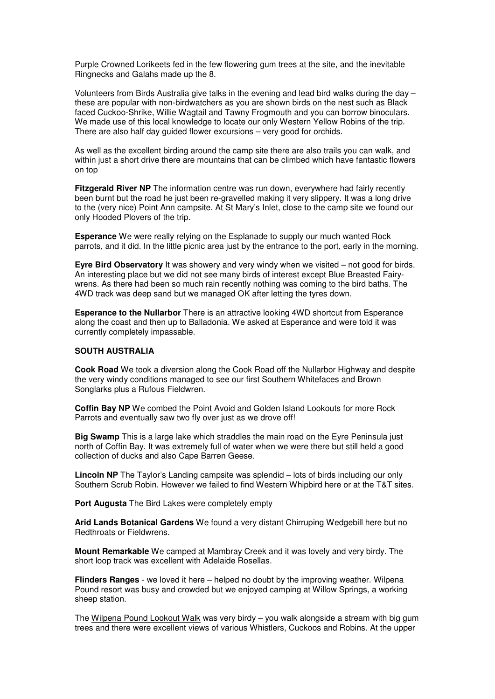Purple Crowned Lorikeets fed in the few flowering gum trees at the site, and the inevitable Ringnecks and Galahs made up the 8.

Volunteers from Birds Australia give talks in the evening and lead bird walks during the day – these are popular with non-birdwatchers as you are shown birds on the nest such as Black faced Cuckoo-Shrike, Willie Wagtail and Tawny Frogmouth and you can borrow binoculars. We made use of this local knowledge to locate our only Western Yellow Robins of the trip. There are also half day guided flower excursions – very good for orchids.

As well as the excellent birding around the camp site there are also trails you can walk, and within just a short drive there are mountains that can be climbed which have fantastic flowers on top

**Fitzgerald River NP** The information centre was run down, everywhere had fairly recently been burnt but the road he just been re-gravelled making it very slippery. It was a long drive to the (very nice) Point Ann campsite. At St Mary's Inlet, close to the camp site we found our only Hooded Plovers of the trip.

**Esperance** We were really relying on the Esplanade to supply our much wanted Rock parrots, and it did. In the little picnic area just by the entrance to the port, early in the morning.

**Eyre Bird Observatory** It was showery and very windy when we visited – not good for birds. An interesting place but we did not see many birds of interest except Blue Breasted Fairywrens. As there had been so much rain recently nothing was coming to the bird baths. The 4WD track was deep sand but we managed OK after letting the tyres down.

**Esperance to the Nullarbor** There is an attractive looking 4WD shortcut from Esperance along the coast and then up to Balladonia. We asked at Esperance and were told it was currently completely impassable.

### **SOUTH AUSTRALIA**

**Cook Road** We took a diversion along the Cook Road off the Nullarbor Highway and despite the very windy conditions managed to see our first Southern Whitefaces and Brown Songlarks plus a Rufous Fieldwren.

**Coffin Bay NP** We combed the Point Avoid and Golden Island Lookouts for more Rock Parrots and eventually saw two fly over just as we drove off!

**Big Swamp** This is a large lake which straddles the main road on the Eyre Peninsula just north of Coffin Bay. It was extremely full of water when we were there but still held a good collection of ducks and also Cape Barren Geese.

**Lincoln NP** The Taylor's Landing campsite was splendid – lots of birds including our only Southern Scrub Robin. However we failed to find Western Whipbird here or at the T&T sites.

**Port Augusta** The Bird Lakes were completely empty

**Arid Lands Botanical Gardens** We found a very distant Chirruping Wedgebill here but no Redthroats or Fieldwrens.

**Mount Remarkable** We camped at Mambray Creek and it was lovely and very birdy. The short loop track was excellent with Adelaide Rosellas.

**Flinders Ranges** - we loved it here – helped no doubt by the improving weather. Wilpena Pound resort was busy and crowded but we enjoyed camping at Willow Springs, a working sheep station.

The Wilpena Pound Lookout Walk was very birdy – you walk alongside a stream with big gum trees and there were excellent views of various Whistlers, Cuckoos and Robins. At the upper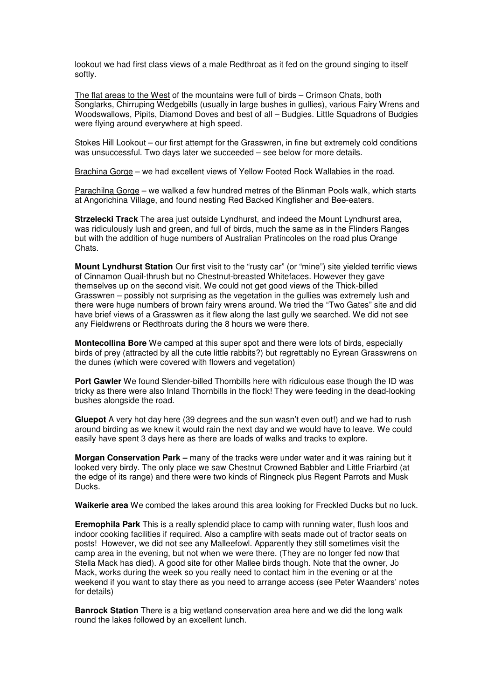lookout we had first class views of a male Redthroat as it fed on the ground singing to itself softly.

The flat areas to the West of the mountains were full of birds – Crimson Chats, both Songlarks, Chirruping Wedgebills (usually in large bushes in gullies), various Fairy Wrens and Woodswallows, Pipits, Diamond Doves and best of all – Budgies. Little Squadrons of Budgies were flying around everywhere at high speed.

Stokes Hill Lookout – our first attempt for the Grasswren, in fine but extremely cold conditions was unsuccessful. Two days later we succeeded – see below for more details.

Brachina Gorge – we had excellent views of Yellow Footed Rock Wallabies in the road.

Parachilna Gorge – we walked a few hundred metres of the Blinman Pools walk, which starts at Angorichina Village, and found nesting Red Backed Kingfisher and Bee-eaters.

**Strzelecki Track** The area just outside Lyndhurst, and indeed the Mount Lyndhurst area, was ridiculously lush and green, and full of birds, much the same as in the Flinders Ranges but with the addition of huge numbers of Australian Pratincoles on the road plus Orange Chats.

**Mount Lyndhurst Station** Our first visit to the "rusty car" (or "mine") site yielded terrific views of Cinnamon Quail-thrush but no Chestnut-breasted Whitefaces. However they gave themselves up on the second visit. We could not get good views of the Thick-billed Grasswren – possibly not surprising as the vegetation in the gullies was extremely lush and there were huge numbers of brown fairy wrens around. We tried the "Two Gates" site and did have brief views of a Grasswren as it flew along the last gully we searched. We did not see any Fieldwrens or Redthroats during the 8 hours we were there.

**Montecollina Bore** We camped at this super spot and there were lots of birds, especially birds of prey (attracted by all the cute little rabbits?) but regrettably no Eyrean Grasswrens on the dunes (which were covered with flowers and vegetation)

**Port Gawler** We found Slender-billed Thornbills here with ridiculous ease though the ID was tricky as there were also Inland Thornbills in the flock! They were feeding in the dead-looking bushes alongside the road.

**Gluepot** A very hot day here (39 degrees and the sun wasn't even out!) and we had to rush around birding as we knew it would rain the next day and we would have to leave. We could easily have spent 3 days here as there are loads of walks and tracks to explore.

**Morgan Conservation Park –** many of the tracks were under water and it was raining but it looked very birdy. The only place we saw Chestnut Crowned Babbler and Little Friarbird (at the edge of its range) and there were two kinds of Ringneck plus Regent Parrots and Musk Ducks.

**Waikerie area** We combed the lakes around this area looking for Freckled Ducks but no luck.

**Eremophila Park** This is a really splendid place to camp with running water, flush loos and indoor cooking facilities if required. Also a campfire with seats made out of tractor seats on posts! However, we did not see any Malleefowl. Apparently they still sometimes visit the camp area in the evening, but not when we were there. (They are no longer fed now that Stella Mack has died). A good site for other Mallee birds though. Note that the owner, Jo Mack, works during the week so you really need to contact him in the evening or at the weekend if you want to stay there as you need to arrange access (see Peter Waanders' notes for details)

**Banrock Station** There is a big wetland conservation area here and we did the long walk round the lakes followed by an excellent lunch.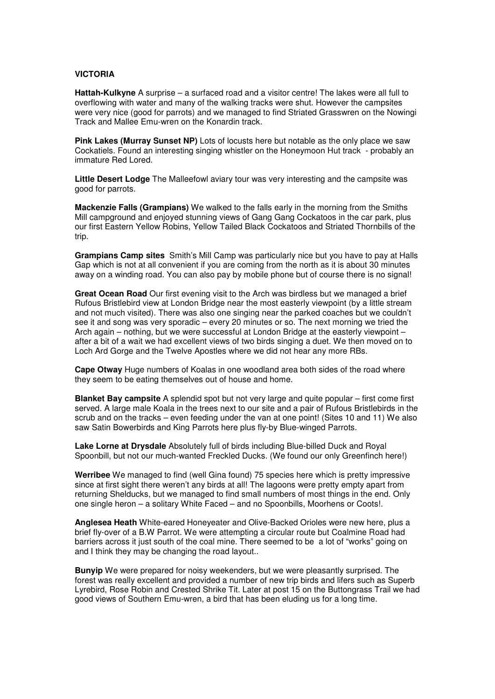#### **VICTORIA**

**Hattah-Kulkyne** A surprise – a surfaced road and a visitor centre! The lakes were all full to overflowing with water and many of the walking tracks were shut. However the campsites were very nice (good for parrots) and we managed to find Striated Grasswren on the Nowingi Track and Mallee Emu-wren on the Konardin track.

**Pink Lakes (Murray Sunset NP)** Lots of locusts here but notable as the only place we saw Cockatiels. Found an interesting singing whistler on the Honeymoon Hut track - probably an immature Red Lored.

**Little Desert Lodge** The Malleefowl aviary tour was very interesting and the campsite was good for parrots.

**Mackenzie Falls (Grampians)** We walked to the falls early in the morning from the Smiths Mill campground and enjoyed stunning views of Gang Gang Cockatoos in the car park, plus our first Eastern Yellow Robins, Yellow Tailed Black Cockatoos and Striated Thornbills of the trip.

**Grampians Camp sites** Smith's Mill Camp was particularly nice but you have to pay at Halls Gap which is not at all convenient if you are coming from the north as it is about 30 minutes away on a winding road. You can also pay by mobile phone but of course there is no signal!

**Great Ocean Road** Our first evening visit to the Arch was birdless but we managed a brief Rufous Bristlebird view at London Bridge near the most easterly viewpoint (by a little stream and not much visited). There was also one singing near the parked coaches but we couldn't see it and song was very sporadic – every 20 minutes or so. The next morning we tried the Arch again – nothing, but we were successful at London Bridge at the easterly viewpoint – after a bit of a wait we had excellent views of two birds singing a duet. We then moved on to Loch Ard Gorge and the Twelve Apostles where we did not hear any more RBs.

**Cape Otway** Huge numbers of Koalas in one woodland area both sides of the road where they seem to be eating themselves out of house and home.

**Blanket Bay campsite** A splendid spot but not very large and quite popular – first come first served. A large male Koala in the trees next to our site and a pair of Rufous Bristlebirds in the scrub and on the tracks – even feeding under the van at one point! (Sites 10 and 11) We also saw Satin Bowerbirds and King Parrots here plus fly-by Blue-winged Parrots.

**Lake Lorne at Drysdale** Absolutely full of birds including Blue-billed Duck and Royal Spoonbill, but not our much-wanted Freckled Ducks. (We found our only Greenfinch here!)

**Werribee** We managed to find (well Gina found) 75 species here which is pretty impressive since at first sight there weren't any birds at all! The lagoons were pretty empty apart from returning Shelducks, but we managed to find small numbers of most things in the end. Only one single heron – a solitary White Faced – and no Spoonbills, Moorhens or Coots!.

**Anglesea Heath** White-eared Honeyeater and Olive-Backed Orioles were new here, plus a brief fly-over of a B.W Parrot. We were attempting a circular route but Coalmine Road had barriers across it just south of the coal mine. There seemed to be a lot of "works" going on and I think they may be changing the road layout..

**Bunyip** We were prepared for noisy weekenders, but we were pleasantly surprised. The forest was really excellent and provided a number of new trip birds and lifers such as Superb Lyrebird, Rose Robin and Crested Shrike Tit. Later at post 15 on the Buttongrass Trail we had good views of Southern Emu-wren, a bird that has been eluding us for a long time.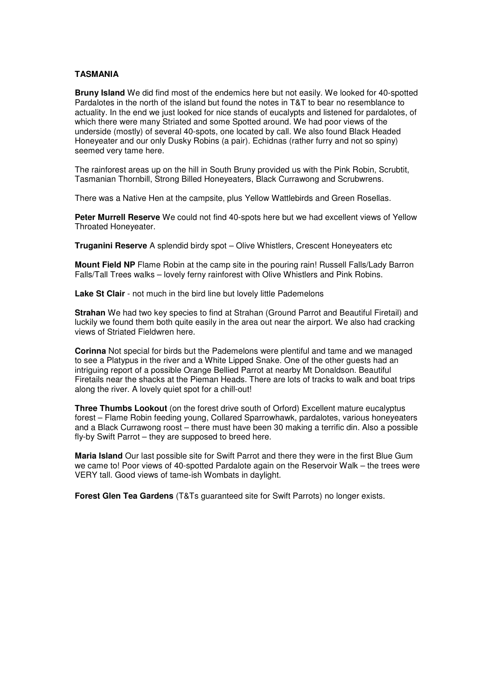#### **TASMANIA**

**Bruny Island** We did find most of the endemics here but not easily. We looked for 40-spotted Pardalotes in the north of the island but found the notes in T&T to bear no resemblance to actuality. In the end we just looked for nice stands of eucalypts and listened for pardalotes, of which there were many Striated and some Spotted around. We had poor views of the underside (mostly) of several 40-spots, one located by call. We also found Black Headed Honeyeater and our only Dusky Robins (a pair). Echidnas (rather furry and not so spiny) seemed very tame here.

The rainforest areas up on the hill in South Bruny provided us with the Pink Robin, Scrubtit, Tasmanian Thornbill, Strong Billed Honeyeaters, Black Currawong and Scrubwrens.

There was a Native Hen at the campsite, plus Yellow Wattlebirds and Green Rosellas.

**Peter Murrell Reserve** We could not find 40-spots here but we had excellent views of Yellow Throated Honeyeater.

**Truganini Reserve** A splendid birdy spot – Olive Whistlers, Crescent Honeyeaters etc

**Mount Field NP** Flame Robin at the camp site in the pouring rain! Russell Falls/Lady Barron Falls/Tall Trees walks – lovely ferny rainforest with Olive Whistlers and Pink Robins.

**Lake St Clair** - not much in the bird line but lovely little Pademelons

**Strahan** We had two key species to find at Strahan (Ground Parrot and Beautiful Firetail) and luckily we found them both quite easily in the area out near the airport. We also had cracking views of Striated Fieldwren here.

**Corinna** Not special for birds but the Pademelons were plentiful and tame and we managed to see a Platypus in the river and a White Lipped Snake. One of the other guests had an intriguing report of a possible Orange Bellied Parrot at nearby Mt Donaldson. Beautiful Firetails near the shacks at the Pieman Heads. There are lots of tracks to walk and boat trips along the river. A lovely quiet spot for a chill-out!

**Three Thumbs Lookout** (on the forest drive south of Orford) Excellent mature eucalyptus forest – Flame Robin feeding young, Collared Sparrowhawk, pardalotes, various honeyeaters and a Black Currawong roost – there must have been 30 making a terrific din. Also a possible fly-by Swift Parrot – they are supposed to breed here.

**Maria Island** Our last possible site for Swift Parrot and there they were in the first Blue Gum we came to! Poor views of 40-spotted Pardalote again on the Reservoir Walk – the trees were VERY tall. Good views of tame-ish Wombats in daylight.

**Forest Glen Tea Gardens** (T&Ts guaranteed site for Swift Parrots) no longer exists.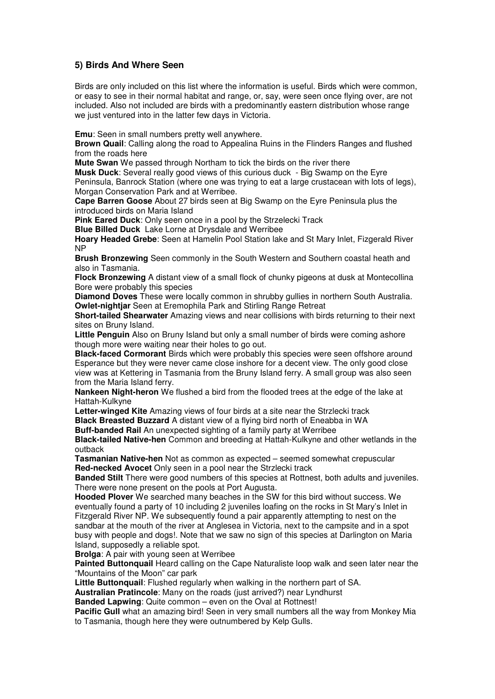# **5) Birds And Where Seen**

Birds are only included on this list where the information is useful. Birds which were common, or easy to see in their normal habitat and range, or, say, were seen once flying over, are not included. Also not included are birds with a predominantly eastern distribution whose range we just ventured into in the latter few days in Victoria.

**Emu**: Seen in small numbers pretty well anywhere.

**Brown Quail**: Calling along the road to Appealina Ruins in the Flinders Ranges and flushed from the roads here

**Mute Swan** We passed through Northam to tick the birds on the river there

**Musk Duck**: Several really good views of this curious duck - Big Swamp on the Eyre Peninsula, Banrock Station (where one was trying to eat a large crustacean with lots of legs), Morgan Conservation Park and at Werribee.

**Cape Barren Goose** About 27 birds seen at Big Swamp on the Eyre Peninsula plus the introduced birds on Maria Island

**Pink Eared Duck**: Only seen once in a pool by the Strzelecki Track

**Blue Billed Duck** Lake Lorne at Drysdale and Werribee

**Hoary Headed Grebe**: Seen at Hamelin Pool Station lake and St Mary Inlet, Fizgerald River NP

**Brush Bronzewing** Seen commonly in the South Western and Southern coastal heath and also in Tasmania.

**Flock Bronzewing** A distant view of a small flock of chunky pigeons at dusk at Montecollina Bore were probably this species

**Diamond Doves** These were locally common in shrubby gullies in northern South Australia. **Owlet-nightjar** Seen at Eremophila Park and Stirling Range Retreat

**Short-tailed Shearwater** Amazing views and near collisions with birds returning to their next sites on Bruny Island.

**Little Penguin** Also on Bruny Island but only a small number of birds were coming ashore though more were waiting near their holes to go out.

**Black-faced Cormorant** Birds which were probably this species were seen offshore around Esperance but they were never came close inshore for a decent view. The only good close view was at Kettering in Tasmania from the Bruny Island ferry. A small group was also seen from the Maria Island ferry.

**Nankeen Night-heron** We flushed a bird from the flooded trees at the edge of the lake at Hattah-Kulkyne

**Letter-winged Kite** Amazing views of four birds at a site near the Strzlecki track

**Black Breasted Buzzard** A distant view of a flying bird north of Eneabba in WA

**Buff-banded Rail** An unexpected sighting of a family party at Werribee

**Black-tailed Native-hen** Common and breeding at Hattah-Kulkyne and other wetlands in the outback

**Tasmanian Native-hen** Not as common as expected – seemed somewhat crepuscular **Red-necked Avocet** Only seen in a pool near the Strzlecki track

**Banded Stilt** There were good numbers of this species at Rottnest, both adults and juveniles. There were none present on the pools at Port Augusta.

**Hooded Plover** We searched many beaches in the SW for this bird without success. We eventually found a party of 10 including 2 juveniles loafing on the rocks in St Mary's Inlet in Fitzgerald River NP. We subsequently found a pair apparently attempting to nest on the sandbar at the mouth of the river at Anglesea in Victoria, next to the campsite and in a spot busy with people and dogs!. Note that we saw no sign of this species at Darlington on Maria Island, supposedly a reliable spot.

**Brolga**: A pair with young seen at Werribee

**Painted Buttonquail** Heard calling on the Cape Naturaliste loop walk and seen later near the "Mountains of the Moon" car park

**Little Buttonquail**: Flushed regularly when walking in the northern part of SA.

**Australian Pratincole**: Many on the roads (just arrived?) near Lyndhurst

**Banded Lapwing**: Quite common – even on the Oval at Rottnest!

**Pacific Gull** what an amazing bird! Seen in very small numbers all the way from Monkey Mia to Tasmania, though here they were outnumbered by Kelp Gulls.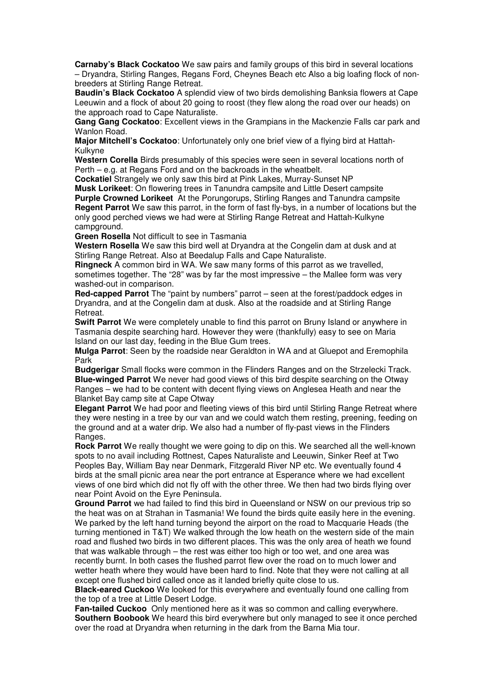**Carnaby's Black Cockatoo** We saw pairs and family groups of this bird in several locations – Dryandra, Stirling Ranges, Regans Ford, Cheynes Beach etc Also a big loafing flock of nonbreeders at Stirling Range Retreat.

**Baudin's Black Cockatoo** A splendid view of two birds demolishing Banksia flowers at Cape Leeuwin and a flock of about 20 going to roost (they flew along the road over our heads) on the approach road to Cape Naturaliste.

**Gang Gang Cockatoo**: Excellent views in the Grampians in the Mackenzie Falls car park and Wanlon Road.

**Major Mitchell's Cockatoo**: Unfortunately only one brief view of a flying bird at Hattah-Kulkyne

**Western Corella** Birds presumably of this species were seen in several locations north of Perth – e.g. at Regans Ford and on the backroads in the wheatbelt.

**Cockatiel** Strangely we only saw this bird at Pink Lakes, Murray-Sunset NP

**Musk Lorikeet**: On flowering trees in Tanundra campsite and Little Desert campsite **Purple Crowned Lorikeet** At the Porungorups, Stirling Ranges and Tanundra campsite **Regent Parrot** We saw this parrot, in the form of fast fly-bys, in a number of locations but the only good perched views we had were at Stirling Range Retreat and Hattah-Kulkyne campground.

**Green Rosella** Not difficult to see in Tasmania

**Western Rosella** We saw this bird well at Dryandra at the Congelin dam at dusk and at Stirling Range Retreat. Also at Beedalup Falls and Cape Naturaliste.

**Ringneck** A common bird in WA. We saw many forms of this parrot as we travelled, sometimes together. The "28" was by far the most impressive – the Mallee form was very washed-out in comparison.

**Red-capped Parrot** The "paint by numbers" parrot – seen at the forest/paddock edges in Dryandra, and at the Congelin dam at dusk. Also at the roadside and at Stirling Range Retreat.

**Swift Parrot** We were completely unable to find this parrot on Bruny Island or anywhere in Tasmania despite searching hard. However they were (thankfully) easy to see on Maria Island on our last day, feeding in the Blue Gum trees.

**Mulga Parrot**: Seen by the roadside near Geraldton in WA and at Gluepot and Eremophila Park

**Budgerigar** Small flocks were common in the Flinders Ranges and on the Strzelecki Track. **Blue-winged Parrot** We never had good views of this bird despite searching on the Otway Ranges – we had to be content with decent flying views on Anglesea Heath and near the Blanket Bay camp site at Cape Otway

**Elegant Parrot** We had poor and fleeting views of this bird until Stirling Range Retreat where they were nesting in a tree by our van and we could watch them resting, preening, feeding on the ground and at a water drip. We also had a number of fly-past views in the Flinders Ranges.

**Rock Parrot** We really thought we were going to dip on this. We searched all the well-known spots to no avail including Rottnest, Capes Naturaliste and Leeuwin, Sinker Reef at Two Peoples Bay, William Bay near Denmark, Fitzgerald River NP etc. We eventually found 4 birds at the small picnic area near the port entrance at Esperance where we had excellent views of one bird which did not fly off with the other three. We then had two birds flying over near Point Avoid on the Eyre Peninsula.

**Ground Parrot** we had failed to find this bird in Queensland or NSW on our previous trip so the heat was on at Strahan in Tasmania! We found the birds quite easily here in the evening. We parked by the left hand turning beyond the airport on the road to Macquarie Heads (the turning mentioned in T&T) We walked through the low heath on the western side of the main road and flushed two birds in two different places. This was the only area of heath we found that was walkable through – the rest was either too high or too wet, and one area was recently burnt. In both cases the flushed parrot flew over the road on to much lower and wetter heath where they would have been hard to find. Note that they were not calling at all except one flushed bird called once as it landed briefly quite close to us.

**Black-eared Cuckoo** We looked for this everywhere and eventually found one calling from the top of a tree at Little Desert Lodge.

**Fan-tailed Cuckoo** Only mentioned here as it was so common and calling everywhere. **Southern Boobook** We heard this bird everywhere but only managed to see it once perched over the road at Dryandra when returning in the dark from the Barna Mia tour.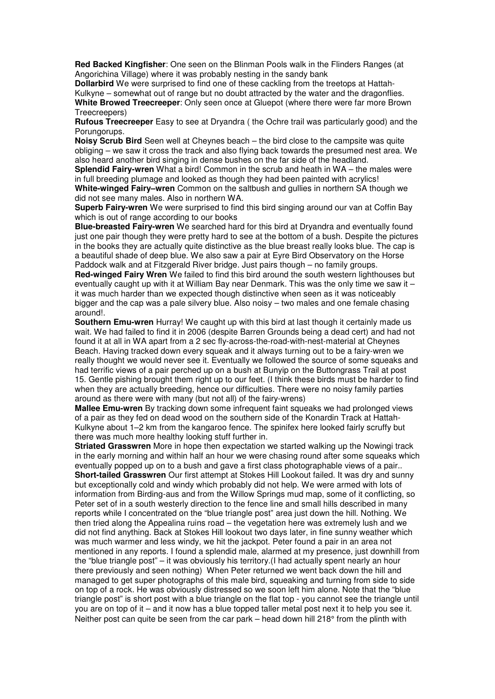**Red Backed Kingfisher**: One seen on the Blinman Pools walk in the Flinders Ranges (at Angorichina Village) where it was probably nesting in the sandy bank

**Dollarbird** We were surprised to find one of these cackling from the treetops at Hattah-Kulkyne – somewhat out of range but no doubt attracted by the water and the dragonflies. **White Browed Treecreeper**: Only seen once at Gluepot (where there were far more Brown Treecreepers)

**Rufous Treecreeper** Easy to see at Dryandra ( the Ochre trail was particularly good) and the Porungorups.

**Noisy Scrub Bird** Seen well at Cheynes beach – the bird close to the campsite was quite obliging – we saw it cross the track and also flying back towards the presumed nest area. We also heard another bird singing in dense bushes on the far side of the headland.

**Splendid Fairy-wren** What a bird! Common in the scrub and heath in WA – the males were in full breeding plumage and looked as though they had been painted with acrylics! **White-winged Fairy–wren** Common on the saltbush and gullies in northern SA though we did not see many males. Also in northern WA.

**Superb Fairy-wren** We were surprised to find this bird singing around our van at Coffin Bay which is out of range according to our books

**Blue-breasted Fairy-wren** We searched hard for this bird at Dryandra and eventually found just one pair though they were pretty hard to see at the bottom of a bush. Despite the pictures in the books they are actually quite distinctive as the blue breast really looks blue. The cap is a beautiful shade of deep blue. We also saw a pair at Eyre Bird Observatory on the Horse Paddock walk and at Fitzgerald River bridge. Just pairs though – no family groups.

**Red-winged Fairy Wren** We failed to find this bird around the south western lighthouses but eventually caught up with it at William Bay near Denmark. This was the only time we saw it – it was much harder than we expected though distinctive when seen as it was noticeably bigger and the cap was a pale silvery blue. Also noisy – two males and one female chasing around!.

**Southern Emu-wren** Hurray! We caught up with this bird at last though it certainly made us wait. We had failed to find it in 2006 (despite Barren Grounds being a dead cert) and had not found it at all in WA apart from a 2 sec fly-across-the-road-with-nest-material at Cheynes Beach. Having tracked down every squeak and it always turning out to be a fairy-wren we really thought we would never see it. Eventually we followed the source of some squeaks and had terrific views of a pair perched up on a bush at Bunyip on the Buttongrass Trail at post 15. Gentle pishing brought them right up to our feet. (I think these birds must be harder to find when they are actually breeding, hence our difficulties. There were no noisy family parties around as there were with many (but not all) of the fairy-wrens)

**Mallee Emu-wren** By tracking down some infrequent faint squeaks we had prolonged views of a pair as they fed on dead wood on the southern side of the Konardin Track at Hattah-Kulkyne about 1–2 km from the kangaroo fence. The spinifex here looked fairly scruffy but there was much more healthy looking stuff further in.

**Striated Grasswren** More in hope then expectation we started walking up the Nowingi track in the early morning and within half an hour we were chasing round after some squeaks which eventually popped up on to a bush and gave a first class photographable views of a pair.. **Short-tailed Grasswren** Our first attempt at Stokes Hill Lookout failed. It was dry and sunny but exceptionally cold and windy which probably did not help. We were armed with lots of information from Birding-aus and from the Willow Springs mud map, some of it conflicting, so Peter set of in a south westerly direction to the fence line and small hills described in many reports while I concentrated on the "blue triangle post" area just down the hill. Nothing. We then tried along the Appealina ruins road – the vegetation here was extremely lush and we did not find anything. Back at Stokes Hill lookout two days later, in fine sunny weather which was much warmer and less windy, we hit the jackpot. Peter found a pair in an area not mentioned in any reports. I found a splendid male, alarmed at my presence, just downhill from the "blue triangle post" – it was obviously his territory.(I had actually spent nearly an hour there previously and seen nothing) When Peter returned we went back down the hill and managed to get super photographs of this male bird, squeaking and turning from side to side on top of a rock. He was obviously distressed so we soon left him alone. Note that the "blue triangle post" is short post with a blue triangle on the flat top - you cannot see the triangle until you are on top of it – and it now has a blue topped taller metal post next it to help you see it. Neither post can quite be seen from the car park – head down hill 218° from the plinth with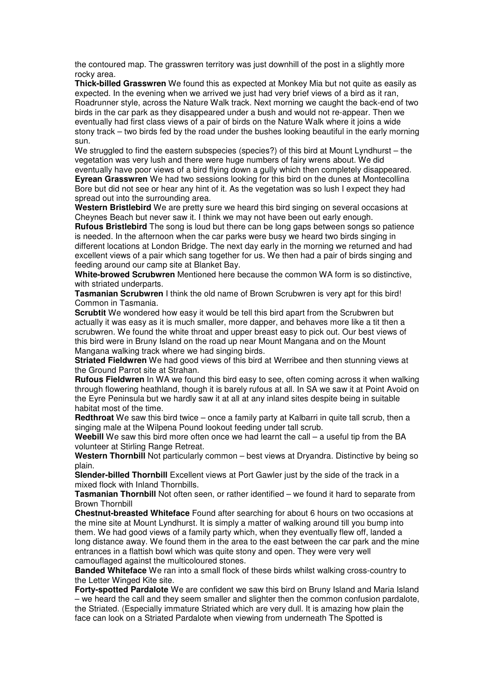the contoured map. The grasswren territory was just downhill of the post in a slightly more rocky area.

**Thick-billed Grasswren** We found this as expected at Monkey Mia but not quite as easily as expected. In the evening when we arrived we just had very brief views of a bird as it ran, Roadrunner style, across the Nature Walk track. Next morning we caught the back-end of two birds in the car park as they disappeared under a bush and would not re-appear. Then we eventually had first class views of a pair of birds on the Nature Walk where it joins a wide stony track – two birds fed by the road under the bushes looking beautiful in the early morning sun.

We struggled to find the eastern subspecies (species?) of this bird at Mount Lyndhurst – the vegetation was very lush and there were huge numbers of fairy wrens about. We did eventually have poor views of a bird flying down a gully which then completely disappeared.

**Eyrean Grasswren** We had two sessions looking for this bird on the dunes at Montecollina Bore but did not see or hear any hint of it. As the vegetation was so lush I expect they had spread out into the surrounding area.

**Western Bristlebird** We are pretty sure we heard this bird singing on several occasions at Cheynes Beach but never saw it. I think we may not have been out early enough.

**Rufous Bristlebird** The song is loud but there can be long gaps between songs so patience is needed. In the afternoon when the car parks were busy we heard two birds singing in different locations at London Bridge. The next day early in the morning we returned and had excellent views of a pair which sang together for us. We then had a pair of birds singing and feeding around our camp site at Blanket Bay.

**White-browed Scrubwren** Mentioned here because the common WA form is so distinctive, with striated underparts.

**Tasmanian Scrubwren** I think the old name of Brown Scrubwren is very apt for this bird! Common in Tasmania.

**Scrubtit** We wondered how easy it would be tell this bird apart from the Scrubwren but actually it was easy as it is much smaller, more dapper, and behaves more like a tit then a scrubwren. We found the white throat and upper breast easy to pick out. Our best views of this bird were in Bruny Island on the road up near Mount Mangana and on the Mount Mangana walking track where we had singing birds.

**Striated Fieldwren** We had good views of this bird at Werribee and then stunning views at the Ground Parrot site at Strahan.

**Rufous Fieldwren** In WA we found this bird easy to see, often coming across it when walking through flowering heathland, though it is barely rufous at all. In SA we saw it at Point Avoid on the Eyre Peninsula but we hardly saw it at all at any inland sites despite being in suitable habitat most of the time.

**Redthroat** We saw this bird twice – once a family party at Kalbarri in quite tall scrub, then a singing male at the Wilpena Pound lookout feeding under tall scrub.

**Weebill** We saw this bird more often once we had learnt the call – a useful tip from the BA volunteer at Stirling Range Retreat.

**Western Thornbill** Not particularly common – best views at Dryandra. Distinctive by being so plain.

**Slender-billed Thornbill** Excellent views at Port Gawler just by the side of the track in a mixed flock with Inland Thornbills.

**Tasmanian Thornbill** Not often seen, or rather identified – we found it hard to separate from Brown Thornbill

**Chestnut-breasted Whiteface** Found after searching for about 6 hours on two occasions at the mine site at Mount Lyndhurst. It is simply a matter of walking around till you bump into them. We had good views of a family party which, when they eventually flew off, landed a long distance away. We found them in the area to the east between the car park and the mine entrances in a flattish bowl which was quite stony and open. They were very well camouflaged against the multicoloured stones.

**Banded Whiteface** We ran into a small flock of these birds whilst walking cross-country to the Letter Winged Kite site.

**Forty-spotted Pardalote** We are confident we saw this bird on Bruny Island and Maria Island – we heard the call and they seem smaller and slighter then the common confusion pardalote, the Striated. (Especially immature Striated which are very dull. It is amazing how plain the face can look on a Striated Pardalote when viewing from underneath The Spotted is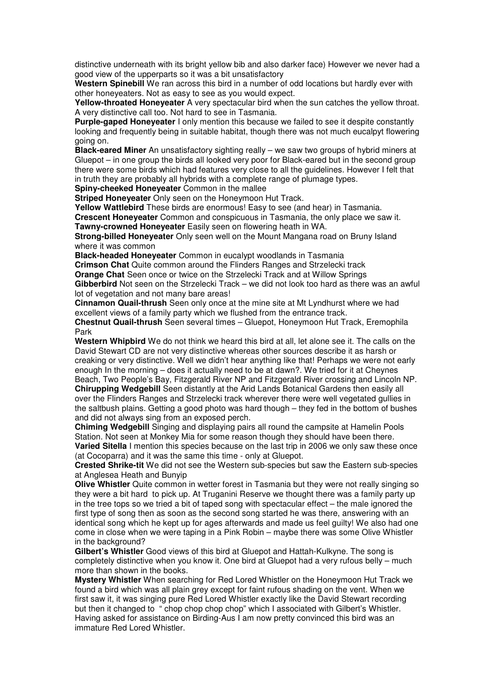distinctive underneath with its bright yellow bib and also darker face) However we never had a good view of the upperparts so it was a bit unsatisfactory

**Western Spinebill** We ran across this bird in a number of odd locations but hardly ever with other honeyeaters. Not as easy to see as you would expect.

**Yellow-throated Honeyeater** A very spectacular bird when the sun catches the yellow throat. A very distinctive call too. Not hard to see in Tasmania.

**Purple-gaped Honeyeater** I only mention this because we failed to see it despite constantly looking and frequently being in suitable habitat, though there was not much eucalpyt flowering going on.

**Black-eared Miner** An unsatisfactory sighting really – we saw two groups of hybrid miners at Gluepot – in one group the birds all looked very poor for Black-eared but in the second group there were some birds which had features very close to all the guidelines. However I felt that in truth they are probably all hybrids with a complete range of plumage types.

**Spiny-cheeked Honeyeater** Common in the mallee

**Striped Honeyeater** Only seen on the Honeymoon Hut Track.

**Yellow Wattlebird** These birds are enormous! Easy to see (and hear) in Tasmania. **Crescent Honeyeater** Common and conspicuous in Tasmania, the only place we saw it. **Tawny-crowned Honeyeater** Easily seen on flowering heath in WA.

**Strong-billed Honeyeater** Only seen well on the Mount Mangana road on Bruny Island

where it was common

**Black-headed Honeyeater** Common in eucalypt woodlands in Tasmania **Crimson Chat** Quite common around the Flinders Ranges and Strzelecki track

**Orange Chat** Seen once or twice on the Strzelecki Track and at Willow Springs

**Gibberbird** Not seen on the Strzelecki Track – we did not look too hard as there was an awful lot of vegetation and not many bare areas!

**Cinnamon Quail-thrush** Seen only once at the mine site at Mt Lyndhurst where we had excellent views of a family party which we flushed from the entrance track.

**Chestnut Quail-thrush** Seen several times – Gluepot, Honeymoon Hut Track, Eremophila Park

**Western Whipbird** We do not think we heard this bird at all, let alone see it. The calls on the David Stewart CD are not very distinctive whereas other sources describe it as harsh or creaking or very distinctive. Well we didn't hear anything like that! Perhaps we were not early enough In the morning – does it actually need to be at dawn?. We tried for it at Cheynes Beach, Two People's Bay, Fitzgerald River NP and Fitzgerald River crossing and Lincoln NP. **Chirupping Wedgebill** Seen distantly at the Arid Lands Botanical Gardens then easily all over the Flinders Ranges and Strzelecki track wherever there were well vegetated gullies in the saltbush plains. Getting a good photo was hard though – they fed in the bottom of bushes and did not always sing from an exposed perch.

**Chiming Wedgebill** Singing and displaying pairs all round the campsite at Hamelin Pools Station. Not seen at Monkey Mia for some reason though they should have been there. **Varied Sitella** I mention this species because on the last trip in 2006 we only saw these once (at Cocoparra) and it was the same this time - only at Gluepot.

**Crested Shrike-tit** We did not see the Western sub-species but saw the Eastern sub-species at Anglesea Heath and Bunyip

**Olive Whistler** Quite common in wetter forest in Tasmania but they were not really singing so they were a bit hard to pick up. At Truganini Reserve we thought there was a family party up in the tree tops so we tried a bit of taped song with spectacular effect – the male ignored the first type of song then as soon as the second song started he was there, answering with an identical song which he kept up for ages afterwards and made us feel guilty! We also had one come in close when we were taping in a Pink Robin – maybe there was some Olive Whistler in the background?

**Gilbert's Whistler** Good views of this bird at Gluepot and Hattah-Kulkyne. The song is completely distinctive when you know it. One bird at Gluepot had a very rufous belly – much more than shown in the books.

**Mystery Whistler** When searching for Red Lored Whistler on the Honeymoon Hut Track we found a bird which was all plain grey except for faint rufous shading on the vent. When we first saw it, it was singing pure Red Lored Whistler exactly like the David Stewart recording but then it changed to " chop chop chop chop" which I associated with Gilbert's Whistler. Having asked for assistance on Birding-Aus I am now pretty convinced this bird was an immature Red Lored Whistler.